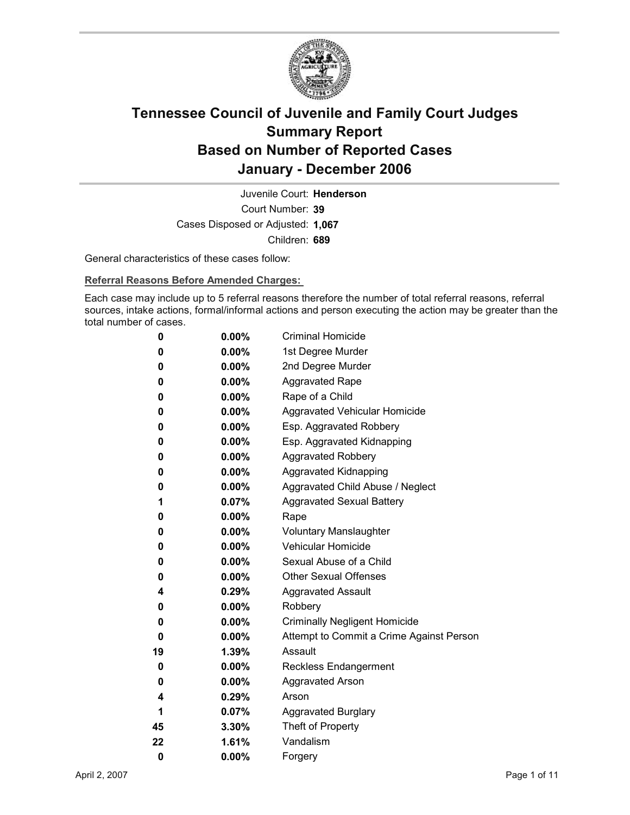

Court Number: **39** Juvenile Court: **Henderson** Cases Disposed or Adjusted: **1,067** Children: **689**

General characteristics of these cases follow:

**Referral Reasons Before Amended Charges:** 

Each case may include up to 5 referral reasons therefore the number of total referral reasons, referral sources, intake actions, formal/informal actions and person executing the action may be greater than the total number of cases.

| 0  | $0.00\%$ | <b>Criminal Homicide</b>                 |
|----|----------|------------------------------------------|
| 0  | $0.00\%$ | 1st Degree Murder                        |
| 0  | $0.00\%$ | 2nd Degree Murder                        |
| 0  | $0.00\%$ | <b>Aggravated Rape</b>                   |
| 0  | $0.00\%$ | Rape of a Child                          |
| 0  | $0.00\%$ | Aggravated Vehicular Homicide            |
| 0  | $0.00\%$ | Esp. Aggravated Robbery                  |
| 0  | $0.00\%$ | Esp. Aggravated Kidnapping               |
| 0  | $0.00\%$ | <b>Aggravated Robbery</b>                |
| 0  | $0.00\%$ | <b>Aggravated Kidnapping</b>             |
| 0  | $0.00\%$ | Aggravated Child Abuse / Neglect         |
| 1  | $0.07\%$ | <b>Aggravated Sexual Battery</b>         |
| 0  | $0.00\%$ | Rape                                     |
| 0  | $0.00\%$ | <b>Voluntary Manslaughter</b>            |
| 0  | $0.00\%$ | <b>Vehicular Homicide</b>                |
| 0  | $0.00\%$ | Sexual Abuse of a Child                  |
| 0  | $0.00\%$ | <b>Other Sexual Offenses</b>             |
| 4  | $0.29\%$ | <b>Aggravated Assault</b>                |
| 0  | $0.00\%$ | Robbery                                  |
| 0  | $0.00\%$ | <b>Criminally Negligent Homicide</b>     |
| 0  | $0.00\%$ | Attempt to Commit a Crime Against Person |
| 19 | $1.39\%$ | Assault                                  |
| 0  | $0.00\%$ | <b>Reckless Endangerment</b>             |
| 0  | $0.00\%$ | <b>Aggravated Arson</b>                  |
| 4  | $0.29\%$ | Arson                                    |
| 1  | 0.07%    | <b>Aggravated Burglary</b>               |
| 45 | $3.30\%$ | Theft of Property                        |
| 22 | 1.61%    | Vandalism                                |
| 0  | 0.00%    | Forgery                                  |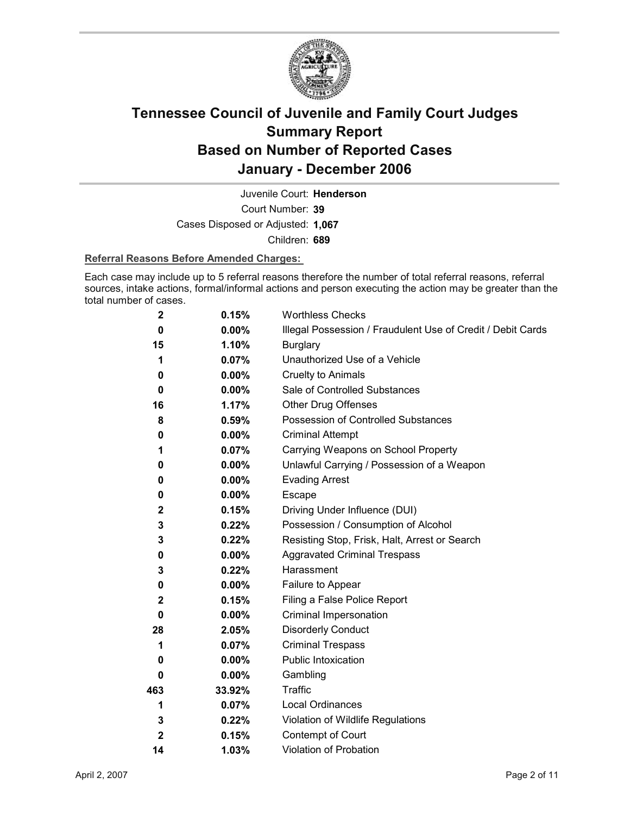

Court Number: **39** Juvenile Court: **Henderson** Cases Disposed or Adjusted: **1,067** Children: **689**

### **Referral Reasons Before Amended Charges:**

Each case may include up to 5 referral reasons therefore the number of total referral reasons, referral sources, intake actions, formal/informal actions and person executing the action may be greater than the total number of cases.

| $\mathbf 2$      | 0.15%    | <b>Worthless Checks</b>                                     |
|------------------|----------|-------------------------------------------------------------|
| 0                | $0.00\%$ | Illegal Possession / Fraudulent Use of Credit / Debit Cards |
| 15               | 1.10%    | <b>Burglary</b>                                             |
| 1                | 0.07%    | Unauthorized Use of a Vehicle                               |
| 0                | $0.00\%$ | <b>Cruelty to Animals</b>                                   |
| 0                | $0.00\%$ | Sale of Controlled Substances                               |
| 16               | 1.17%    | <b>Other Drug Offenses</b>                                  |
| 8                | 0.59%    | Possession of Controlled Substances                         |
| 0                | 0.00%    | <b>Criminal Attempt</b>                                     |
| 1                | 0.07%    | Carrying Weapons on School Property                         |
| 0                | 0.00%    | Unlawful Carrying / Possession of a Weapon                  |
| 0                | $0.00\%$ | <b>Evading Arrest</b>                                       |
| 0                | $0.00\%$ | Escape                                                      |
| 2                | 0.15%    | Driving Under Influence (DUI)                               |
| 3                | 0.22%    | Possession / Consumption of Alcohol                         |
| 3                | 0.22%    | Resisting Stop, Frisk, Halt, Arrest or Search               |
| 0                | $0.00\%$ | <b>Aggravated Criminal Trespass</b>                         |
| 3                | 0.22%    | Harassment                                                  |
| 0                | $0.00\%$ | Failure to Appear                                           |
| $\mathbf 2$      | 0.15%    | Filing a False Police Report                                |
| 0                | $0.00\%$ | Criminal Impersonation                                      |
| 28               | 2.05%    | <b>Disorderly Conduct</b>                                   |
| 1                | 0.07%    | <b>Criminal Trespass</b>                                    |
| 0                | $0.00\%$ | <b>Public Intoxication</b>                                  |
| 0                | $0.00\%$ | Gambling                                                    |
| 463              | 33.92%   | <b>Traffic</b>                                              |
| 1                | 0.07%    | Local Ordinances                                            |
| 3                | 0.22%    | Violation of Wildlife Regulations                           |
| $\boldsymbol{2}$ | 0.15%    | Contempt of Court                                           |
| 14               | 1.03%    | Violation of Probation                                      |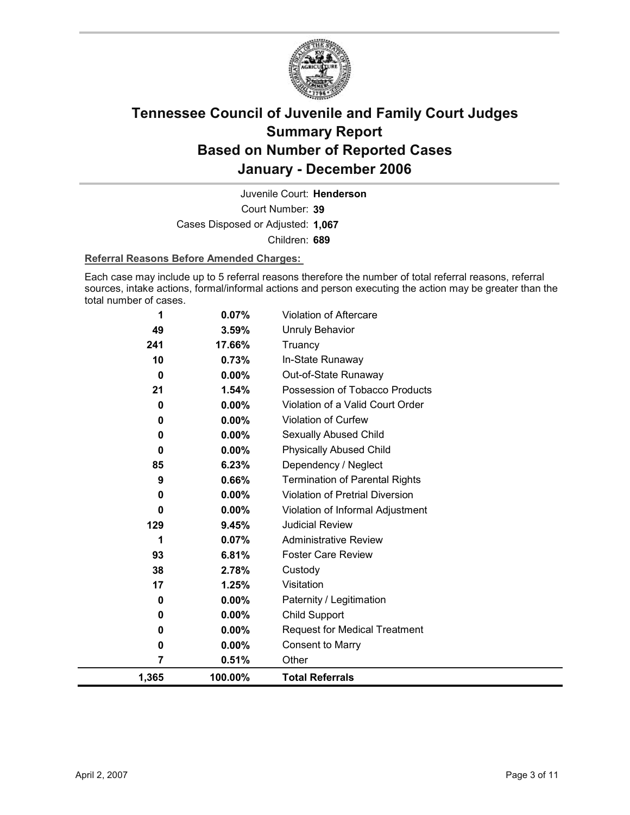

Court Number: **39** Juvenile Court: **Henderson** Cases Disposed or Adjusted: **1,067** Children: **689**

#### **Referral Reasons Before Amended Charges:**

Each case may include up to 5 referral reasons therefore the number of total referral reasons, referral sources, intake actions, formal/informal actions and person executing the action may be greater than the total number of cases.

| 1     | 0.07%    | <b>Violation of Aftercare</b>          |
|-------|----------|----------------------------------------|
| 49    | 3.59%    | Unruly Behavior                        |
| 241   | 17.66%   | Truancy                                |
| 10    | 0.73%    | In-State Runaway                       |
| 0     | $0.00\%$ | Out-of-State Runaway                   |
| 21    | 1.54%    | Possession of Tobacco Products         |
| 0     | $0.00\%$ | Violation of a Valid Court Order       |
| 0     | 0.00%    | Violation of Curfew                    |
| 0     | 0.00%    | Sexually Abused Child                  |
| 0     | $0.00\%$ | <b>Physically Abused Child</b>         |
| 85    | 6.23%    | Dependency / Neglect                   |
| 9     | 0.66%    | <b>Termination of Parental Rights</b>  |
| 0     | 0.00%    | <b>Violation of Pretrial Diversion</b> |
| 0     | $0.00\%$ | Violation of Informal Adjustment       |
| 129   | 9.45%    | <b>Judicial Review</b>                 |
| 1     | 0.07%    | <b>Administrative Review</b>           |
| 93    | 6.81%    | <b>Foster Care Review</b>              |
| 38    | 2.78%    | Custody                                |
| 17    | 1.25%    | Visitation                             |
| 0     | 0.00%    | Paternity / Legitimation               |
| 0     | $0.00\%$ | Child Support                          |
| 0     | $0.00\%$ | <b>Request for Medical Treatment</b>   |
| 0     | $0.00\%$ | <b>Consent to Marry</b>                |
| 7     | 0.51%    | Other                                  |
| 1,365 | 100.00%  | <b>Total Referrals</b>                 |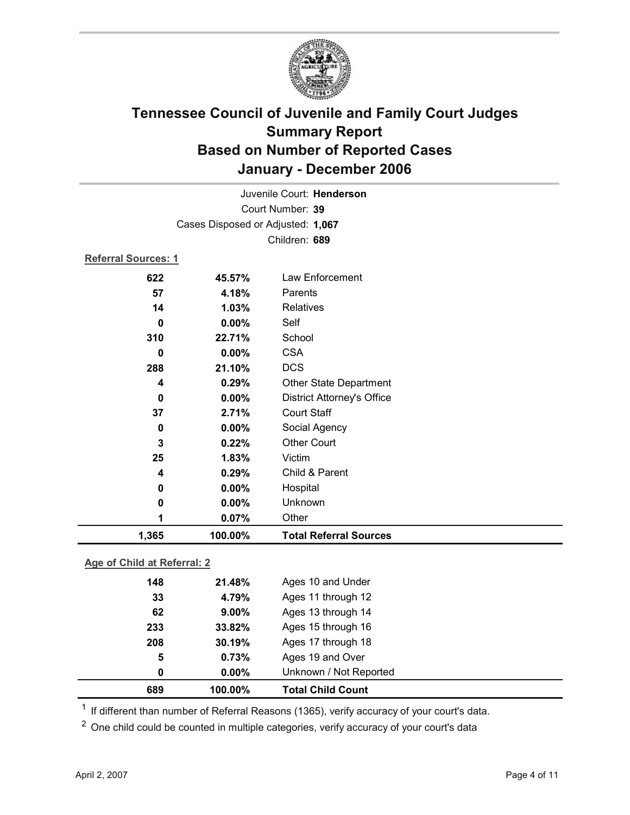

| Juvenile Court: Henderson  |                                   |                                   |  |  |
|----------------------------|-----------------------------------|-----------------------------------|--|--|
|                            | Court Number: 39                  |                                   |  |  |
|                            | Cases Disposed or Adjusted: 1,067 |                                   |  |  |
|                            |                                   | Children: 689                     |  |  |
| <b>Referral Sources: 1</b> |                                   |                                   |  |  |
| 622                        | 45.57%                            | Law Enforcement                   |  |  |
| 57                         | 4.18%                             | Parents                           |  |  |
| 14                         | 1.03%                             | Relatives                         |  |  |
| $\bf{0}$                   | $0.00\%$                          | Self                              |  |  |
| 310                        | 22.71%                            | School                            |  |  |
| 0                          | $0.00\%$                          | <b>CSA</b>                        |  |  |
| 288                        | 21.10%                            | <b>DCS</b>                        |  |  |
| 4                          | 0.29%                             | Other State Department            |  |  |
| $\bf{0}$                   | 0.00%                             | <b>District Attorney's Office</b> |  |  |
| 37                         | 2.71%                             | <b>Court Staff</b>                |  |  |
| 0                          | 0.00%                             | Social Agency                     |  |  |
| 3                          | 0.22%                             | <b>Other Court</b>                |  |  |
| 25                         | 1.83%                             | Victim                            |  |  |
| 4                          | 0.29%                             | Child & Parent                    |  |  |
| 0                          | 0.00%                             | Hospital                          |  |  |
| $\mathbf 0$                | 0.00%                             | Unknown                           |  |  |
| 1                          | 0.07%                             | Other                             |  |  |
| 1,365                      | 100.00%                           | <b>Total Referral Sources</b>     |  |  |

### **Age of Child at Referral: 2**

| 0   | $0.00\%$ | Unknown / Not Reported |                                            |
|-----|----------|------------------------|--------------------------------------------|
| 5   | 0.73%    | Ages 19 and Over       |                                            |
| 208 | 30.19%   | Ages 17 through 18     |                                            |
| 233 | 33.82%   | Ages 15 through 16     |                                            |
| 62  | $9.00\%$ | Ages 13 through 14     |                                            |
| 33  | 4.79%    | Ages 11 through 12     |                                            |
| 148 | 21.48%   | Ages 10 and Under      |                                            |
|     |          |                        | 689<br>100.00%<br><b>Total Child Count</b> |

 $1$  If different than number of Referral Reasons (1365), verify accuracy of your court's data.

<sup>2</sup> One child could be counted in multiple categories, verify accuracy of your court's data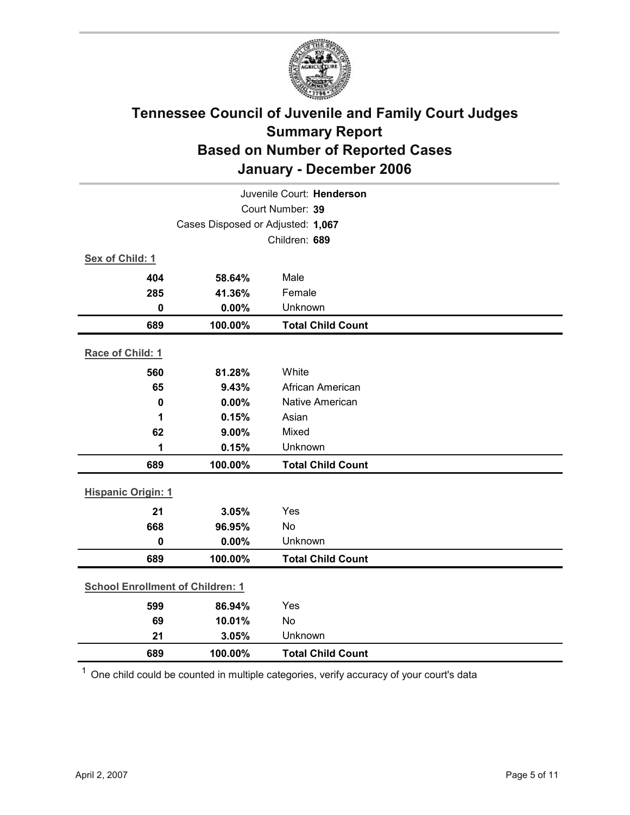

| Juvenile Court: Henderson               |                                   |                          |  |  |
|-----------------------------------------|-----------------------------------|--------------------------|--|--|
| Court Number: 39                        |                                   |                          |  |  |
|                                         | Cases Disposed or Adjusted: 1,067 |                          |  |  |
|                                         |                                   | Children: 689            |  |  |
| Sex of Child: 1                         |                                   |                          |  |  |
| 404                                     | 58.64%                            | Male                     |  |  |
| 285                                     | 41.36%                            | Female                   |  |  |
| $\mathbf 0$                             | 0.00%                             | Unknown                  |  |  |
| 689                                     | 100.00%                           | <b>Total Child Count</b> |  |  |
| Race of Child: 1                        |                                   |                          |  |  |
| 560                                     | 81.28%                            | White                    |  |  |
| 65                                      | 9.43%                             | African American         |  |  |
| $\mathbf 0$                             | 0.00%                             | Native American          |  |  |
| 1                                       | 0.15%                             | Asian                    |  |  |
| 62                                      | 9.00%                             | Mixed                    |  |  |
| 1                                       | 0.15%                             | Unknown                  |  |  |
| 689                                     | 100.00%                           | <b>Total Child Count</b> |  |  |
| <b>Hispanic Origin: 1</b>               |                                   |                          |  |  |
| 21                                      | 3.05%                             | Yes                      |  |  |
| 668                                     | 96.95%                            | No                       |  |  |
| $\mathbf 0$                             | 0.00%                             | Unknown                  |  |  |
| 689                                     | 100.00%                           | <b>Total Child Count</b> |  |  |
|                                         |                                   |                          |  |  |
| <b>School Enrollment of Children: 1</b> |                                   |                          |  |  |
| 599                                     | 86.94%                            | Yes                      |  |  |
| 69                                      | 10.01%                            | No                       |  |  |
| 21                                      | 3.05%                             | Unknown                  |  |  |
| 689                                     | 100.00%                           | <b>Total Child Count</b> |  |  |

 $1$  One child could be counted in multiple categories, verify accuracy of your court's data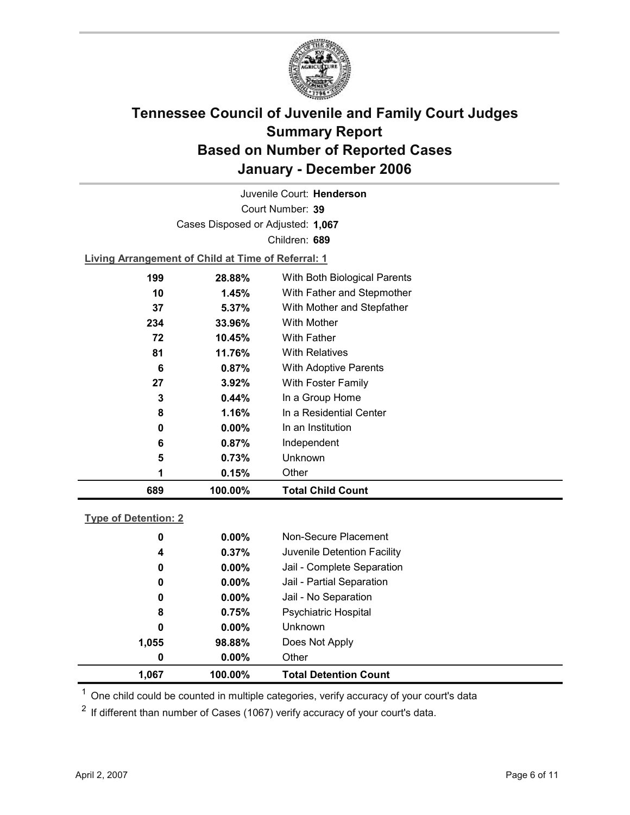

Court Number: **39** Juvenile Court: **Henderson** Cases Disposed or Adjusted: **1,067** Children: **689**

**Living Arrangement of Child at Time of Referral: 1**

| 689 | 100.00%  | <b>Total Child Count</b>     |
|-----|----------|------------------------------|
| 1   | 0.15%    | Other                        |
| 5   | 0.73%    | Unknown                      |
| 6   | 0.87%    | Independent                  |
| 0   | $0.00\%$ | In an Institution            |
| 8   | 1.16%    | In a Residential Center      |
| 3   | 0.44%    | In a Group Home              |
| 27  | $3.92\%$ | With Foster Family           |
| 6   | 0.87%    | <b>With Adoptive Parents</b> |
| 81  | 11.76%   | <b>With Relatives</b>        |
| 72  | 10.45%   | <b>With Father</b>           |
| 234 | 33.96%   | With Mother                  |
| 37  | 5.37%    | With Mother and Stepfather   |
| 10  | 1.45%    | With Father and Stepmother   |
| 199 | 28.88%   | With Both Biological Parents |
|     |          |                              |

### **Type of Detention: 2**

| 1,067 | 100.00%       | <b>Total Detention Count</b> |
|-------|---------------|------------------------------|
|       | $0.00\%$<br>0 | Other                        |
| 1,055 | 98.88%        | Does Not Apply               |
|       | 0<br>$0.00\%$ | <b>Unknown</b>               |
|       | 0.75%<br>8    | <b>Psychiatric Hospital</b>  |
|       | $0.00\%$<br>0 | Jail - No Separation         |
|       | $0.00\%$<br>0 | Jail - Partial Separation    |
|       | $0.00\%$<br>0 | Jail - Complete Separation   |
|       | 0.37%<br>4    | Juvenile Detention Facility  |
|       | $0.00\%$<br>0 | Non-Secure Placement         |
|       |               |                              |

 $<sup>1</sup>$  One child could be counted in multiple categories, verify accuracy of your court's data</sup>

 $2$  If different than number of Cases (1067) verify accuracy of your court's data.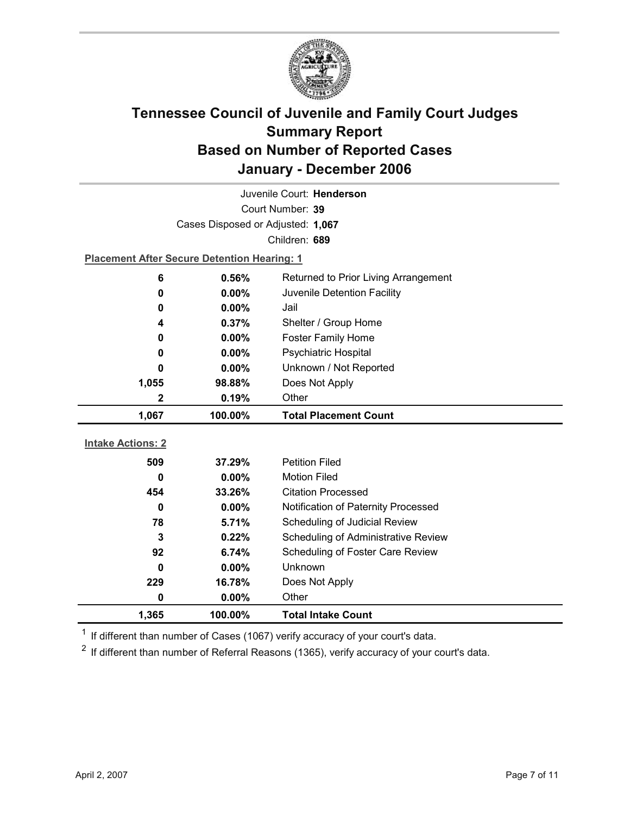

| Juvenile Court: Henderson |                                                    |                                      |  |  |
|---------------------------|----------------------------------------------------|--------------------------------------|--|--|
| Court Number: 39          |                                                    |                                      |  |  |
|                           | Cases Disposed or Adjusted: 1,067                  |                                      |  |  |
|                           |                                                    | Children: 689                        |  |  |
|                           | <b>Placement After Secure Detention Hearing: 1</b> |                                      |  |  |
| 6                         | 0.56%                                              | Returned to Prior Living Arrangement |  |  |
| 0                         | 0.00%                                              | Juvenile Detention Facility          |  |  |
| 0                         | $0.00\%$                                           | Jail                                 |  |  |
| 4                         | 0.37%                                              | Shelter / Group Home                 |  |  |
| 0                         | $0.00\%$                                           | <b>Foster Family Home</b>            |  |  |
| 0                         | 0.00%                                              | Psychiatric Hospital                 |  |  |
| 0                         | $0.00\%$                                           | Unknown / Not Reported               |  |  |
| 1,055                     | 98.88%                                             | Does Not Apply                       |  |  |
| $\mathbf{2}$              | 0.19%                                              | Other                                |  |  |
|                           |                                                    |                                      |  |  |
| 1,067                     | 100.00%                                            | <b>Total Placement Count</b>         |  |  |
|                           |                                                    |                                      |  |  |
| <b>Intake Actions: 2</b>  |                                                    |                                      |  |  |
| 509                       | 37.29%                                             | <b>Petition Filed</b>                |  |  |
| 0                         | 0.00%                                              | <b>Motion Filed</b>                  |  |  |
| 454                       | 33.26%                                             | <b>Citation Processed</b>            |  |  |
| $\bf{0}$                  | 0.00%                                              | Notification of Paternity Processed  |  |  |
| 78                        | 5.71%                                              | Scheduling of Judicial Review        |  |  |
| 3                         | 0.22%                                              | Scheduling of Administrative Review  |  |  |
| 92                        | 6.74%                                              | Scheduling of Foster Care Review     |  |  |
| 0                         | 0.00%                                              | Unknown                              |  |  |
| 229                       | 16.78%                                             | Does Not Apply                       |  |  |
| 0                         | 0.00%                                              | Other                                |  |  |

 $1$  If different than number of Cases (1067) verify accuracy of your court's data.

 $2$  If different than number of Referral Reasons (1365), verify accuracy of your court's data.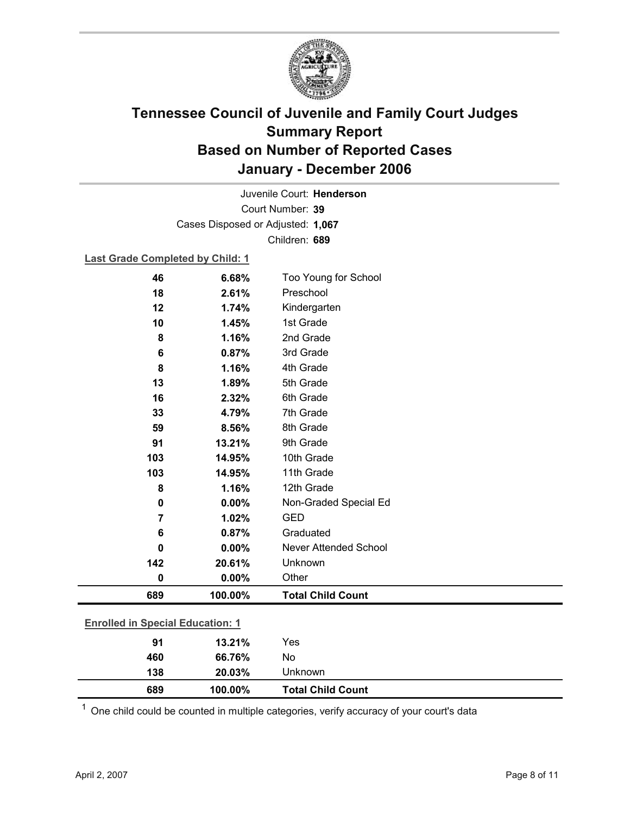

Court Number: **39** Juvenile Court: **Henderson** Cases Disposed or Adjusted: **1,067** Children: **689**

### **Last Grade Completed by Child: 1**

| 46             | 6.68%                                   | Too Young for School         |  |  |
|----------------|-----------------------------------------|------------------------------|--|--|
| 18             | 2.61%                                   | Preschool                    |  |  |
| 12             | 1.74%                                   | Kindergarten                 |  |  |
| 10             | 1.45%                                   | 1st Grade                    |  |  |
| 8              | 1.16%                                   | 2nd Grade                    |  |  |
| 6              | 0.87%                                   | 3rd Grade                    |  |  |
| 8              | 1.16%                                   | 4th Grade                    |  |  |
| 13             | 1.89%                                   | 5th Grade                    |  |  |
| 16             | 2.32%                                   | 6th Grade                    |  |  |
| 33             | 4.79%                                   | 7th Grade                    |  |  |
| 59             | 8.56%                                   | 8th Grade                    |  |  |
| 91             | 13.21%                                  | 9th Grade                    |  |  |
| 103            | 14.95%                                  | 10th Grade                   |  |  |
| 103            | 14.95%                                  | 11th Grade                   |  |  |
| 8              | 1.16%                                   | 12th Grade                   |  |  |
| 0              | 0.00%                                   | Non-Graded Special Ed        |  |  |
| $\overline{7}$ | 1.02%                                   | <b>GED</b>                   |  |  |
| 6              | 0.87%                                   | Graduated                    |  |  |
| 0              | 0.00%                                   | <b>Never Attended School</b> |  |  |
| 142            | 20.61%                                  | Unknown                      |  |  |
| 0              | 0.00%                                   | Other                        |  |  |
| 689            | 100.00%                                 | <b>Total Child Count</b>     |  |  |
|                |                                         |                              |  |  |
|                | <b>Enrolled in Special Education: 1</b> |                              |  |  |
| 91             | 13.21%                                  | Yes                          |  |  |
| 460            | 66.76%                                  | No                           |  |  |

 $1$  One child could be counted in multiple categories, verify accuracy of your court's data

**138 20.03%** Unknown

**689 100.00% Total Child Count**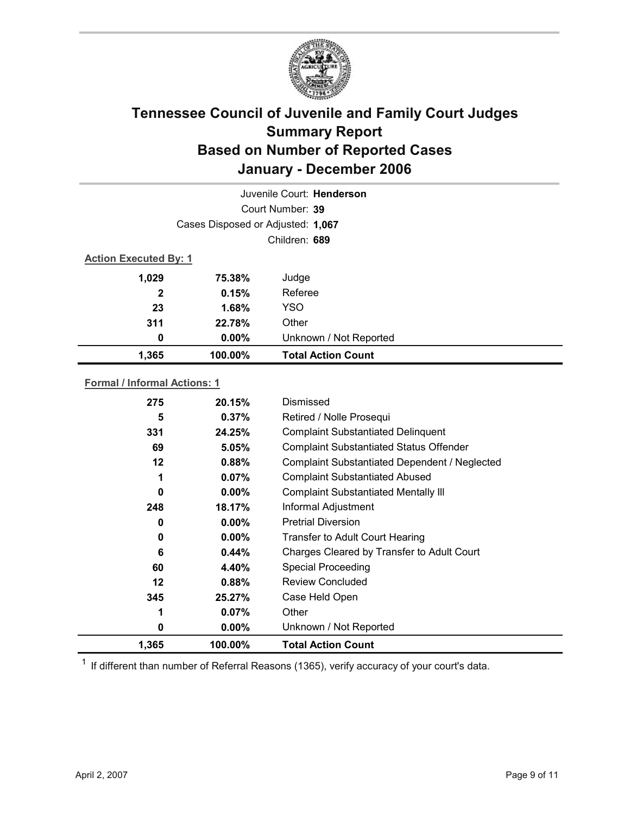

| Juvenile Court: Henderson |                                   |                           |  |  |
|---------------------------|-----------------------------------|---------------------------|--|--|
|                           | Court Number: 39                  |                           |  |  |
|                           | Cases Disposed or Adjusted: 1,067 |                           |  |  |
|                           | Children: 689                     |                           |  |  |
|                           | <b>Action Executed By: 1</b>      |                           |  |  |
| 1,029                     | 75.38%                            | Judge                     |  |  |
| $\mathbf{2}$              | 0.15%                             | Referee                   |  |  |
| 23                        | 1.68%                             | <b>YSO</b>                |  |  |
| 311                       | 22.78%                            | Other                     |  |  |
| 0                         | $0.00\%$                          | Unknown / Not Reported    |  |  |
| 1,365                     | 100.00%                           | <b>Total Action Count</b> |  |  |

### **Formal / Informal Actions: 1**

| 275     | 20.15%   | Dismissed                                      |
|---------|----------|------------------------------------------------|
| 5       | 0.37%    | Retired / Nolle Prosequi                       |
| 331     | 24.25%   | <b>Complaint Substantiated Delinquent</b>      |
| 69      | 5.05%    | <b>Complaint Substantiated Status Offender</b> |
| 12      | 0.88%    | Complaint Substantiated Dependent / Neglected  |
| 1       | 0.07%    | <b>Complaint Substantiated Abused</b>          |
| 0       | $0.00\%$ | <b>Complaint Substantiated Mentally III</b>    |
| 248     | 18.17%   | Informal Adjustment                            |
| 0       | $0.00\%$ | <b>Pretrial Diversion</b>                      |
| 0       | $0.00\%$ | Transfer to Adult Court Hearing                |
| 6       | 0.44%    | Charges Cleared by Transfer to Adult Court     |
| 60      | 4.40%    | <b>Special Proceeding</b>                      |
| $12 \,$ | 0.88%    | <b>Review Concluded</b>                        |
| 345     | 25.27%   | Case Held Open                                 |
| 1       | $0.07\%$ | Other                                          |
| 0       | $0.00\%$ | Unknown / Not Reported                         |
| 1,365   | 100.00%  | <b>Total Action Count</b>                      |

 $1$  If different than number of Referral Reasons (1365), verify accuracy of your court's data.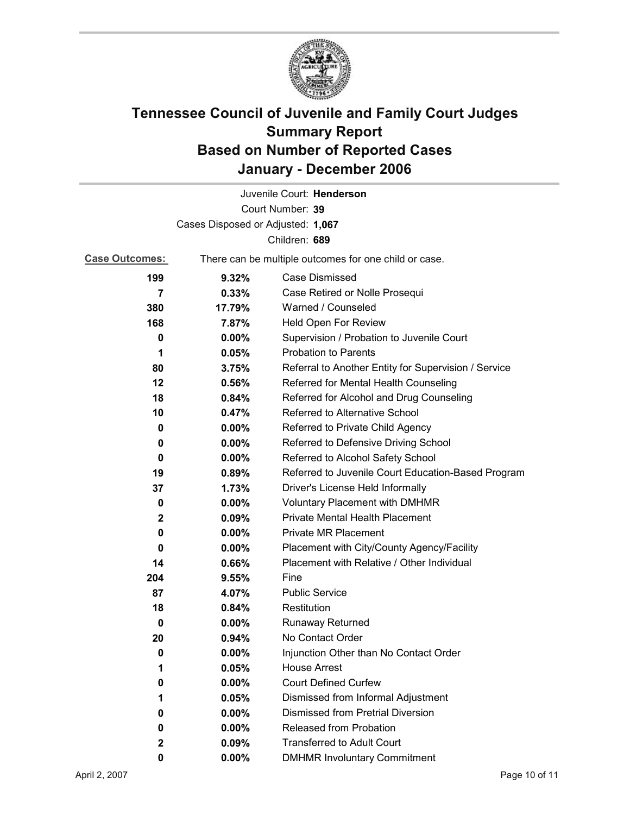

|                                   |                                                       | Juvenile Court: Henderson                            |  |
|-----------------------------------|-------------------------------------------------------|------------------------------------------------------|--|
|                                   |                                                       | Court Number: 39                                     |  |
| Cases Disposed or Adjusted: 1,067 |                                                       |                                                      |  |
|                                   |                                                       | Children: 689                                        |  |
| <b>Case Outcomes:</b>             | There can be multiple outcomes for one child or case. |                                                      |  |
| 199                               | 9.32%                                                 | <b>Case Dismissed</b>                                |  |
| 7                                 | 0.33%                                                 | Case Retired or Nolle Prosequi                       |  |
| 380                               | 17.79%                                                | Warned / Counseled                                   |  |
| 168                               | 7.87%                                                 | Held Open For Review                                 |  |
| 0                                 | $0.00\%$                                              | Supervision / Probation to Juvenile Court            |  |
| 1                                 | 0.05%                                                 | <b>Probation to Parents</b>                          |  |
| 80                                | 3.75%                                                 | Referral to Another Entity for Supervision / Service |  |
| 12                                | 0.56%                                                 | Referred for Mental Health Counseling                |  |
| 18                                | 0.84%                                                 | Referred for Alcohol and Drug Counseling             |  |
| 10                                | 0.47%                                                 | Referred to Alternative School                       |  |
| 0                                 | $0.00\%$                                              | Referred to Private Child Agency                     |  |
| 0                                 | $0.00\%$                                              | Referred to Defensive Driving School                 |  |
| 0                                 | $0.00\%$                                              | Referred to Alcohol Safety School                    |  |
| 19                                | 0.89%                                                 | Referred to Juvenile Court Education-Based Program   |  |
| 37                                | 1.73%                                                 | Driver's License Held Informally                     |  |
| 0                                 | $0.00\%$                                              | <b>Voluntary Placement with DMHMR</b>                |  |
| 2                                 | 0.09%                                                 | <b>Private Mental Health Placement</b>               |  |
| 0                                 | $0.00\%$                                              | <b>Private MR Placement</b>                          |  |
| 0                                 | $0.00\%$                                              | Placement with City/County Agency/Facility           |  |
| 14                                | 0.66%                                                 | Placement with Relative / Other Individual           |  |
| 204                               | 9.55%                                                 | Fine                                                 |  |
| 87                                | 4.07%                                                 | <b>Public Service</b>                                |  |
| 18                                | 0.84%                                                 | Restitution                                          |  |
| 0                                 | $0.00\%$                                              | Runaway Returned                                     |  |
| 20                                | 0.94%                                                 | No Contact Order                                     |  |
| 0                                 | 0.00%                                                 | Injunction Other than No Contact Order               |  |
| 1                                 | 0.05%                                                 | <b>House Arrest</b>                                  |  |
| 0                                 | $0.00\%$                                              | <b>Court Defined Curfew</b>                          |  |
| 1                                 | 0.05%                                                 | Dismissed from Informal Adjustment                   |  |
| 0                                 | $0.00\%$                                              | <b>Dismissed from Pretrial Diversion</b>             |  |
| 0                                 | $0.00\%$                                              | Released from Probation                              |  |
| 2                                 | 0.09%                                                 | <b>Transferred to Adult Court</b>                    |  |
| 0                                 | $0.00\%$                                              | <b>DMHMR Involuntary Commitment</b>                  |  |